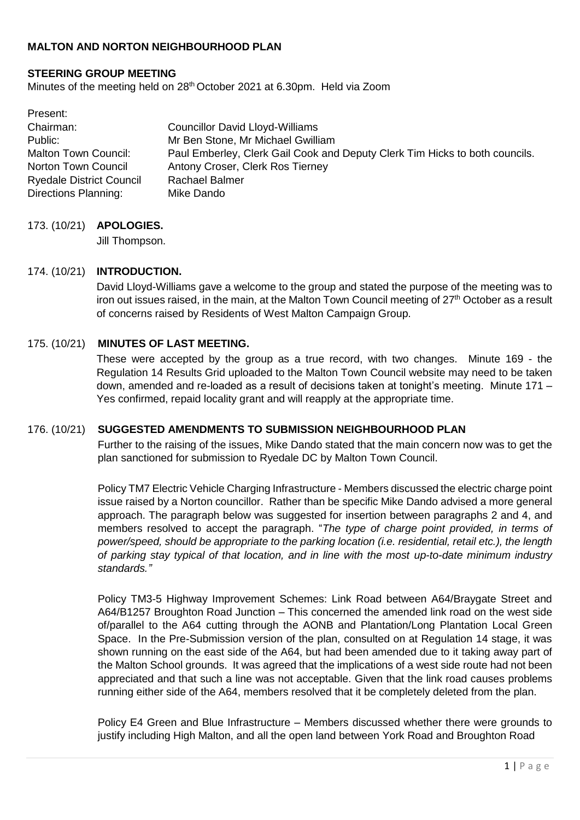## **MALTON AND NORTON NEIGHBOURHOOD PLAN**

### **STEERING GROUP MEETING**

Minutes of the meeting held on 28<sup>th</sup> October 2021 at 6.30pm. Held via Zoom

| Present:                        |                                                                             |
|---------------------------------|-----------------------------------------------------------------------------|
| Chairman:                       | <b>Councillor David Lloyd-Williams</b>                                      |
| Public:                         | Mr Ben Stone, Mr Michael Gwilliam                                           |
| Malton Town Council:            | Paul Emberley, Clerk Gail Cook and Deputy Clerk Tim Hicks to both councils. |
| Norton Town Council             | Antony Croser, Clerk Ros Tierney                                            |
| <b>Ryedale District Council</b> | <b>Rachael Balmer</b>                                                       |
| <b>Directions Planning:</b>     | Mike Dando                                                                  |

### 173. (10/21) **APOLOGIES.**

Jill Thompson.

### 174. (10/21) **INTRODUCTION.**

David Lloyd-Williams gave a welcome to the group and stated the purpose of the meeting was to iron out issues raised, in the main, at the Malton Town Council meeting of  $27<sup>th</sup>$  October as a result of concerns raised by Residents of West Malton Campaign Group.

#### 175. (10/21) **MINUTES OF LAST MEETING.**

These were accepted by the group as a true record, with two changes. Minute 169 - the Regulation 14 Results Grid uploaded to the Malton Town Council website may need to be taken down, amended and re-loaded as a result of decisions taken at tonight's meeting. Minute 171 – Yes confirmed, repaid locality grant and will reapply at the appropriate time.

### 176. (10/21) **SUGGESTED AMENDMENTS TO SUBMISSION NEIGHBOURHOOD PLAN**

Further to the raising of the issues, Mike Dando stated that the main concern now was to get the plan sanctioned for submission to Ryedale DC by Malton Town Council.

Policy TM7 Electric Vehicle Charging Infrastructure - Members discussed the electric charge point issue raised by a Norton councillor. Rather than be specific Mike Dando advised a more general approach. The paragraph below was suggested for insertion between paragraphs 2 and 4, and members resolved to accept the paragraph. "*The type of charge point provided, in terms of power/speed, should be appropriate to the parking location (i.e. residential, retail etc.), the length of parking stay typical of that location, and in line with the most up-to-date minimum industry standards."*

Policy TM3-5 Highway Improvement Schemes: Link Road between A64/Braygate Street and A64/B1257 Broughton Road Junction – This concerned the amended link road on the west side of/parallel to the A64 cutting through the AONB and Plantation/Long Plantation Local Green Space. In the Pre-Submission version of the plan, consulted on at Regulation 14 stage, it was shown running on the east side of the A64, but had been amended due to it taking away part of the Malton School grounds. It was agreed that the implications of a west side route had not been appreciated and that such a line was not acceptable. Given that the link road causes problems running either side of the A64, members resolved that it be completely deleted from the plan.

Policy E4 Green and Blue Infrastructure – Members discussed whether there were grounds to justify including High Malton, and all the open land between York Road and Broughton Road